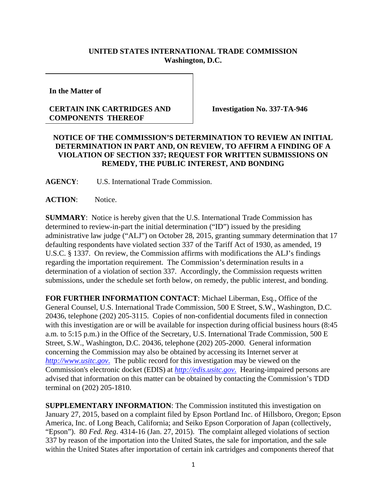## **UNITED STATES INTERNATIONAL TRADE COMMISSION Washington, D.C.**

**In the Matter of**

## **CERTAIN INK CARTRIDGES AND COMPONENTS THEREOF**

**Investigation No. 337-TA-946**

## **NOTICE OF THE COMMISSION'S DETERMINATION TO REVIEW AN INITIAL DETERMINATION IN PART AND, ON REVIEW, TO AFFIRM A FINDING OF A VIOLATION OF SECTION 337; REQUEST FOR WRITTEN SUBMISSIONS ON REMEDY, THE PUBLIC INTEREST, AND BONDING**

**AGENCY**: U.S. International Trade Commission.

**ACTION**: Notice.

**SUMMARY**: Notice is hereby given that the U.S. International Trade Commission has determined to review-in-part the initial determination ("ID") issued by the presiding administrative law judge ("ALJ") on October 28, 2015, granting summary determination that 17 defaulting respondents have violated section 337 of the Tariff Act of 1930, as amended, 19 U.S.C. § 1337. On review, the Commission affirms with modifications the ALJ's findings regarding the importation requirement. The Commission's determination results in a determination of a violation of section 337. Accordingly, the Commission requests written submissions, under the schedule set forth below, on remedy, the public interest, and bonding.

**FOR FURTHER INFORMATION CONTACT**: Michael Liberman, Esq., Office of the General Counsel, U.S. International Trade Commission, 500 E Street, S.W., Washington, D.C. 20436, telephone (202) 205-3115. Copies of non-confidential documents filed in connection with this investigation are or will be available for inspection during official business hours (8:45) a.m. to 5:15 p.m.) in the Office of the Secretary, U.S. International Trade Commission, 500 E Street, S.W., Washington, D.C. 20436, telephone (202) 205-2000. General information concerning the Commission may also be obtained by accessing its Internet server at *http://www.usitc.gov*. The public record for this investigation may be viewed on the Commission's electronic docket (EDIS) at *http://edis.usitc.gov*. Hearing-impaired persons are advised that information on this matter can be obtained by contacting the Commission's TDD terminal on (202) 205-1810.

**SUPPLEMENTARY INFORMATION**: The Commission instituted this investigation on January 27, 2015, based on a complaint filed by Epson Portland Inc. of Hillsboro, Oregon; Epson America, Inc. of Long Beach, California; and Seiko Epson Corporation of Japan (collectively, "Epson"). 80 *Fed. Reg*. 4314-16 (Jan. 27, 2015). The complaint alleged violations of section 337 by reason of the importation into the United States, the sale for importation, and the sale within the United States after importation of certain ink cartridges and components thereof that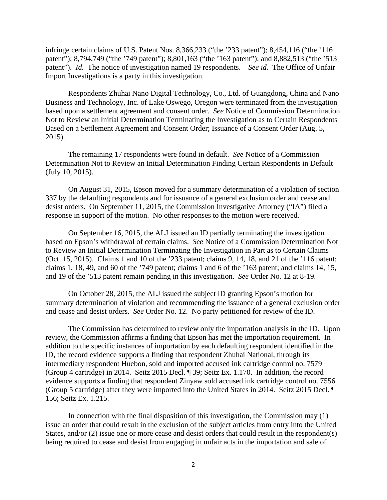infringe certain claims of U.S. Patent Nos. 8,366,233 ("the '233 patent"); 8,454,116 ("the '116 patent"); 8,794,749 ("the '749 patent"); 8,801,163 ("the '163 patent"); and 8,882,513 ("the '513 patent"). *Id.* The notice of investigation named 19 respondents. *See id.* The Office of Unfair Import Investigations is a party in this investigation.

Respondents Zhuhai Nano Digital Technology, Co., Ltd. of Guangdong, China and Nano Business and Technology, Inc. of Lake Oswego, Oregon were terminated from the investigation based upon a settlement agreement and consent order. *See* Notice of Commission Determination Not to Review an Initial Determination Terminating the Investigation as to Certain Respondents Based on a Settlement Agreement and Consent Order; Issuance of a Consent Order (Aug. 5, 2015).

The remaining 17 respondents were found in default. *See* Notice of a Commission Determination Not to Review an Initial Determination Finding Certain Respondents in Default (July 10, 2015).

On August 31, 2015, Epson moved for a summary determination of a violation of section 337 by the defaulting respondents and for issuance of a general exclusion order and cease and desist orders. On September 11, 2015, the Commission Investigative Attorney ("IA") filed a response in support of the motion. No other responses to the motion were received.

On September 16, 2015, the ALJ issued an ID partially terminating the investigation based on Epson's withdrawal of certain claims. *See* Notice of a Commission Determination Not to Review an Initial Determination Terminating the Investigation in Part as to Certain Claims (Oct. 15, 2015). Claims 1 and 10 of the '233 patent; claims 9, 14, 18, and 21 of the '116 patent; claims 1, 18, 49, and 60 of the '749 patent; claims 1 and 6 of the '163 patent; and claims 14, 15, and 19 of the '513 patent remain pending in this investigation. *See* Order No. 12 at 8-19.

On October 28, 2015, the ALJ issued the subject ID granting Epson's motion for summary determination of violation and recommending the issuance of a general exclusion order and cease and desist orders. *See* Order No. 12. No party petitioned for review of the ID.

The Commission has determined to review only the importation analysis in the ID. Upon review, the Commission affirms a finding that Epson has met the importation requirement. In addition to the specific instances of importation by each defaulting respondent identified in the ID, the record evidence supports a finding that respondent Zhuhai National, through its intermediary respondent Huebon, sold and imported accused ink cartridge control no. 7579 (Group 4 cartridge) in 2014. Seitz 2015 Decl. ¶ 39; Seitz Ex. 1.170. In addition, the record evidence supports a finding that respondent Zinyaw sold accused ink cartridge control no. 7556 (Group 5 cartridge) after they were imported into the United States in 2014. Seitz 2015 Decl. ¶ 156; Seitz Ex. 1.215.

In connection with the final disposition of this investigation, the Commission may (1) issue an order that could result in the exclusion of the subject articles from entry into the United States, and/or (2) issue one or more cease and desist orders that could result in the respondent(s) being required to cease and desist from engaging in unfair acts in the importation and sale of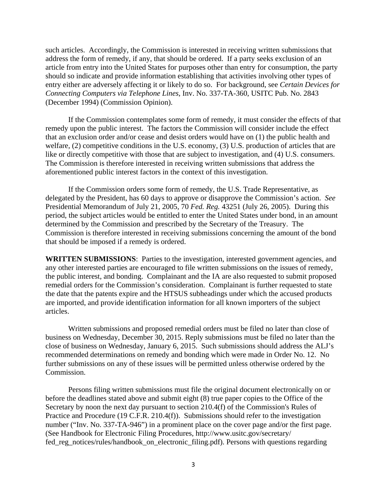such articles. Accordingly, the Commission is interested in receiving written submissions that address the form of remedy, if any, that should be ordered. If a party seeks exclusion of an article from entry into the United States for purposes other than entry for consumption, the party should so indicate and provide information establishing that activities involving other types of entry either are adversely affecting it or likely to do so. For background, see *Certain Devices for Connecting Computers via Telephone Lines*, Inv. No. 337-TA-360, USITC Pub. No. 2843 (December 1994) (Commission Opinion).

If the Commission contemplates some form of remedy, it must consider the effects of that remedy upon the public interest. The factors the Commission will consider include the effect that an exclusion order and/or cease and desist orders would have on (1) the public health and welfare, (2) competitive conditions in the U.S. economy, (3) U.S. production of articles that are like or directly competitive with those that are subject to investigation, and (4) U.S. consumers. The Commission is therefore interested in receiving written submissions that address the aforementioned public interest factors in the context of this investigation.

If the Commission orders some form of remedy, the U.S. Trade Representative, as delegated by the President, has 60 days to approve or disapprove the Commission's action. *See* Presidential Memorandum of July 21, 2005, 70 *Fed. Reg.* 43251 (July 26, 2005). During this period, the subject articles would be entitled to enter the United States under bond, in an amount determined by the Commission and prescribed by the Secretary of the Treasury. The Commission is therefore interested in receiving submissions concerning the amount of the bond that should be imposed if a remedy is ordered.

**WRITTEN SUBMISSIONS**: Parties to the investigation, interested government agencies, and any other interested parties are encouraged to file written submissions on the issues of remedy, the public interest, and bonding. Complainant and the IA are also requested to submit proposed remedial orders for the Commission's consideration. Complainant is further requested to state the date that the patents expire and the HTSUS subheadings under which the accused products are imported, and provide identification information for all known importers of the subject articles.

Written submissions and proposed remedial orders must be filed no later than close of business on Wednesday, December 30, 2015. Reply submissions must be filed no later than the close of business on Wednesday, January 6, 2015. Such submissions should address the ALJ's recommended determinations on remedy and bonding which were made in Order No. 12. No further submissions on any of these issues will be permitted unless otherwise ordered by the Commission.

Persons filing written submissions must file the original document electronically on or before the deadlines stated above and submit eight (8) true paper copies to the Office of the Secretary by noon the next day pursuant to section 210.4(f) of the Commission's Rules of Practice and Procedure (19 C.F.R. 210.4(f)). Submissions should refer to the investigation number ("Inv. No. 337-TA-946") in a prominent place on the cover page and/or the first page. (See Handbook for Electronic Filing Procedures, http://www.usitc.gov/secretary/ fed\_reg\_notices/rules/handbook\_on\_electronic\_filing.pdf). Persons with questions regarding